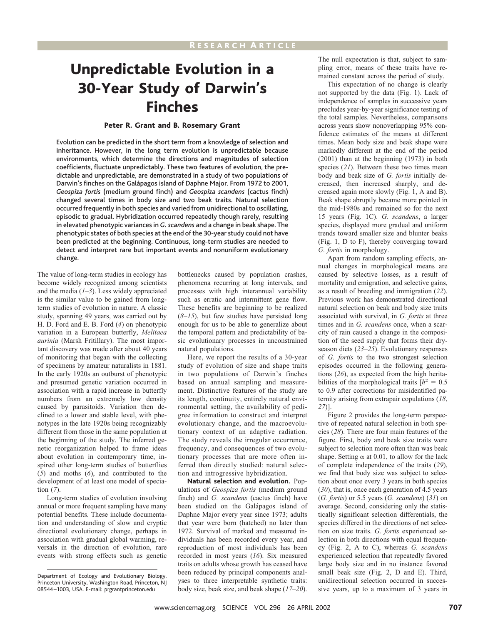# Unpredictable Evolution in a 30-Year Study of Darwin's Finches

## Peter R. Grant and B. Rosemary Grant

Evolution can be predicted in the short term from a knowledge of selection and inheritance. However, in the long term evolution is unpredictable because environments, which determine the directions and magnitudes of selection coefficients, fluctuate unpredictably. These two features of evolution, the predictable and unpredictable, are demonstrated in a study of two populations of Darwin's finches on the Galápagos island of Daphne Major. From 1972 to 2001, *Geospiza fortis* (medium ground finch) and *Geospiza scandens* (cactus finch) changed several times in body size and two beak traits. Natural selection occurred frequently in both species and varied from unidirectional to oscillating, episodic to gradual. Hybridization occurred repeatedly though rarely, resulting in elevated phenotypic variances in *G. scandens* and a change in beak shape. The phenotypic states of both species at the end of the 30-year study could not have been predicted at the beginning. Continuous, long-term studies are needed to detect and interpret rare but important events and nonuniform evolutionary change.

The value of long-term studies in ecology has become widely recognized among scientists and the media (*1*–*3*). Less widely appreciated is the similar value to be gained from longterm studies of evolution in nature. A classic study, spanning 49 years, was carried out by H. D. Ford and E. B. Ford (*4*) on phenotypic variation in a European butterfly, *Melitaea aurinia* (Marsh Fritillary). The most important discovery was made after about 40 years of monitoring that began with the collecting of specimens by amateur naturalists in 1881. In the early 1920s an outburst of phenotypic and presumed genetic variation occurred in association with a rapid increase in butterfly numbers from an extremely low density caused by parasitoids. Variation then declined to a lower and stable level, with phenotypes in the late 1920s being recognizably different from those in the same population at the beginning of the study. The inferred genetic reorganization helped to frame ideas about evolution in contemporary time, inspired other long-term studies of butterflies (*5*) and moths (*6*), and contributed to the development of at least one model of speciation (*7*).

Long-term studies of evolution involving annual or more frequent sampling have many potential benefits. These include documentation and understanding of slow and cryptic directional evolutionary change, perhaps in association with gradual global warming, reversals in the direction of evolution, rare events with strong effects such as genetic bottlenecks caused by population crashes, phenomena recurring at long intervals, and processes with high interannual variability such as erratic and intermittent gene flow. These benefits are beginning to be realized (*8*–*15*), but few studies have persisted long enough for us to be able to generalize about the temporal pattern and predictability of basic evolutionary processes in unconstrained natural populations.

Here, we report the results of a 30-year study of evolution of size and shape traits in two populations of Darwin's finches based on annual sampling and measurement. Distinctive features of the study are its length, continuity, entirely natural environmental setting, the availability of pedigree information to construct and interpret evolutionary change, and the macroevolutionary context of an adaptive radiation. The study reveals the irregular occurrence, frequency, and consequences of two evolutionary processes that are more often inferred than directly studied: natural selection and introgressive hybridization.

**Natural selection and evolution.** Populations of *Geospiza fortis* (medium ground finch) and *G. scandens* (cactus finch) have been studied on the Galápagos island of Daphne Major every year since 1973; adults that year were born (hatched) no later than 1972. Survival of marked and measured individuals has been recorded every year, and reproduction of most individuals has been recorded in most years (*16*). Six measured traits on adults whose growth has ceased have been reduced by principal components analyses to three interpretable synthetic traits: body size, beak size, and beak shape (*17*–*20*).

The null expectation is that, subject to sampling error, means of these traits have remained constant across the period of study.

This expectation of no change is clearly not supported by the data (Fig. 1). Lack of independence of samples in successive years precludes year-by-year significance testing of the total samples. Nevertheless, comparisons across years show nonoverlapping 95% confidence estimates of the means at different times. Mean body size and beak shape were markedly different at the end of the period (2001) than at the beginning (1973) in both species (*21*). Between these two times mean body and beak size of *G. fortis* initially decreased, then increased sharply, and decreased again more slowly (Fig. 1, A and B). Beak shape abruptly became more pointed in the mid-1980s and remained so for the next 15 years (Fig. 1C). *G. scandens*, a larger species, displayed more gradual and uniform trends toward smaller size and blunter beaks (Fig. 1, D to F), thereby converging toward *G. fortis* in morphology.

Apart from random sampling effects, annual changes in morphological means are caused by selective losses, as a result of mortality and emigration, and selective gains, as a result of breeding and immigration (*22*). Previous work has demonstrated directional natural selection on beak and body size traits associated with survival, in *G. fortis* at three times and in *G. scandens* once, when a scarcity of rain caused a change in the composition of the seed supply that forms their dryseason diets (*23*–*25*). Evolutionary responses of *G. fortis* to the two strongest selection episodes occurred in the following generations (*26*), as expected from the high heritabilities of the morphological traits  $h^2 = 0.5$ to 0.9 after corrections for misidentified paternity arising from extrapair copulations (*18*, *27*)].

Figure 2 provides the long-term perspective of repeated natural selection in both species (*28*). There are four main features of the figure. First, body and beak size traits were subject to selection more often than was beak shape. Setting  $\alpha$  at 0.01, to allow for the lack of complete independence of the traits (*29*), we find that body size was subject to selection about once every 3 years in both species (*30*), that is, once each generation of 4.5 years (*G. fortis*) or 5.5 years (*G. scandens*) (*31*) on average. Second, considering only the statistically significant selection differentials, the species differed in the directions of net selection on size traits. *G. fortis* experienced selection in both directions with equal frequency (Fig. 2, A to C), whereas *G. scandens* experienced selection that repeatedly favored large body size and in no instance favored small beak size (Fig. 2, D and E). Third, unidirectional selection occurred in successive years, up to a maximum of 3 years in

Department of Ecology and Evolutionary Biology, Princeton University, Washington Road, Princeton, NJ 08544 –1003, USA. E-mail: prgrantprinceton.edu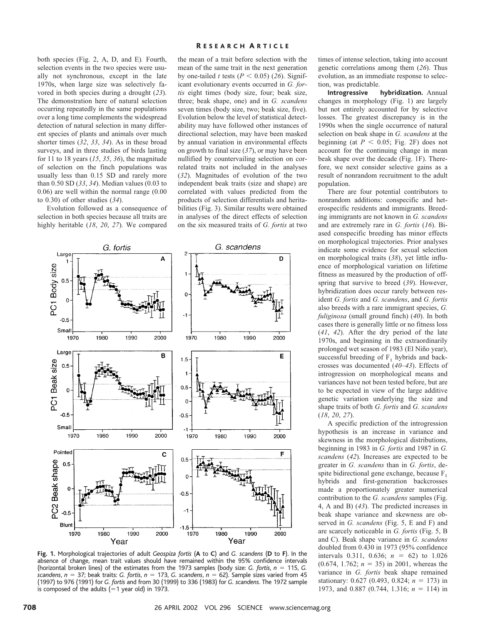both species (Fig. 2, A, D, and E)*.* Fourth, selection events in the two species were usually not synchronous, except in the late 1970s, when large size was selectively favored in both species during a drought (*23*). The demonstration here of natural selection occurring repeatedly in the same populations over a long time complements the widespread detection of natural selection in many different species of plants and animals over much shorter times (*32*, *33*, *34*). As in these broad surveys, and in three studies of birds lasting for 11 to 18 years (*15*, *35*, *36*), the magnitude of selection on the finch populations was usually less than 0.15 SD and rarely more than 0.50 SD (*33*, *34*). Median values (0.03 to 0.06) are well within the normal range (0.00 to 0.30) of other studies (*34*).

Evolution followed as a consequence of selection in both species because all traits are highly heritable (*18*, *20*, *27*). We compared

### R ESEARCH A RTICLE

the mean of a trait before selection with the mean of the same trait in the next generation by one-tailed *t* tests ( $P < 0.05$ ) (26). Significant evolutionary events occurred in *G. fortis* eight times (body size, four; beak size, three; beak shape, one) and in *G. scandens* seven times (body size, two; beak size, five). Evolution below the level of statistical detectability may have followed other instances of directional selection, may have been masked by annual variation in environmental effects on growth to final size (*37*), or may have been nullified by countervailing selection on correlated traits not included in the analyses (*32*). Magnitudes of evolution of the two independent beak traits (size and shape) are correlated with values predicted from the products of selection differentials and heritabilities (Fig. 3). Similar results were obtained in analyses of the direct effects of selection on the six measured traits of *G. fortis* at two



**Fig. 1.** Morphological trajectories of adult *Geospiza fortis* (**A** to **C**) and *G. scandens* (**D** to **F**). In the absence of change, mean trait values should have remained within the 95% confidence intervals (horizontal broken lines) of the estimates from the 1973 samples (body size: *G. fortis*,  $n = 115$ , *G. scandens*,  $n = 37$ ; beak traits: *G. fortis*,  $n = 173$ , *G. scandens*,  $n = 62$ ). Sample sizes varied from 45 (1997) to 976 (1991) for *G. fortis* and from 30 (1999) to 336 (1983) for *G. scandens*. The 1972 sample is composed of the adults  $(=1 \text{ year old})$  in 1973.

times of intense selection, taking into account genetic correlations among them (*26*). Thus evolution, as an immediate response to selection, was predictable.

**Introgressive hybridization.** Annual changes in morphology (Fig. 1) are largely but not entirely accounted for by selective losses. The greatest discrepancy is in the 1990s when the single occurrence of natural selection on beak shape in *G. scandens* at the beginning (at  $P < 0.05$ ; Fig. 2F) does not account for the continuing change in mean beak shape over the decade (Fig. 1F). Therefore, we next consider selective gains as a result of nonrandom recruitment to the adult population.

There are four potential contributors to nonrandom additions: conspecific and heterospecific residents and immigrants. Breeding immigrants are not known in *G. scandens* and are extremely rare in *G. fortis* (*16*). Biased conspecific breeding has minor effects on morphological trajectories. Prior analyses indicate some evidence for sexual selection on morphological traits (*38*), yet little influence of morphological variation on lifetime fitness as measured by the production of offspring that survive to breed (*39*). However, hybridization does occur rarely between resident *G. fortis* and *G. scandens*, and *G. fortis* also breeds with a rare immigrant species, *G. fuliginosa* (small ground finch) (*40*). In both cases there is generally little or no fitness loss (*41*, *42*). After the dry period of the late 1970s, and beginning in the extraordinarily prolonged wet season of 1983 (El Niño year), successful breeding of  $F_1$  hybrids and backcrosses was documented (*40*–*43*). Effects of introgression on morphological means and variances have not been tested before, but are to be expected in view of the large additive genetic variation underlying the size and shape traits of both *G. fortis* and *G. scandens* (*18*, *20*, *27*).

A specific prediction of the introgression hypothesis is an increase in variance and skewness in the morphological distributions, beginning in 1983 in *G. fortis* and 1987 in *G. scandens* (*42*). Increases are expected to be greater in *G. scandens* than in *G. fortis*, despite bidirectional gene exchange, because  $F_1$ hybrids and first-generation backcrosses made a proportionately greater numerical contribution to the *G. scandens* samples (Fig. 4, A and B) (*43*). The predicted increases in beak shape variance and skewness are observed in *G. scandens* (Fig. 5, E and F) and are scarcely noticeable in *G. fortis* (Fig. 5, B and C). Beak shape variance in *G. scandens* doubled from 0.430 in 1973 (95% confidence intervals 0.311, 0.636;  $n = 62$ ) to 1.026  $(0.674, 1.762; n = 35)$  in 2001, whereas the variance in *G. fortis* beak shape remained stationary: 0.627 (0.493, 0.824;  $n = 173$ ) in 1973, and 0.887 (0.744, 1.316; *n* = 114) in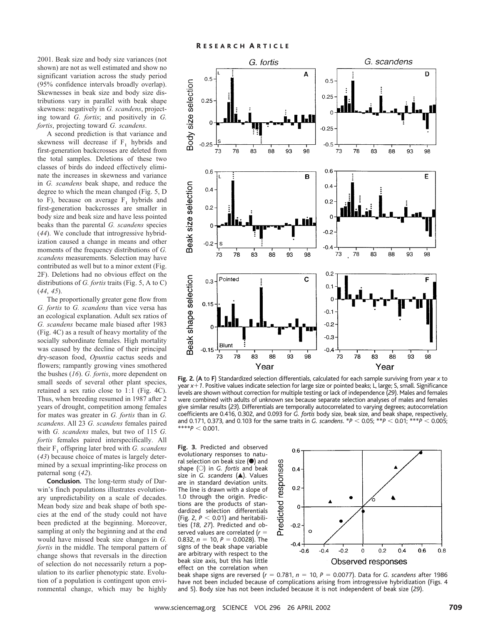2001. Beak size and body size variances (not shown) are not as well estimated and show no significant variation across the study period (95% confidence intervals broadly overlap). Skewnesses in beak size and body size distributions vary in parallel with beak shape skewness: negatively in *G. scandens*, projecting toward *G. fortis*; and positively in *G. fortis*, projecting toward *G. scandens*.

A second prediction is that variance and skewness will decrease if  $F_1$  hybrids and first-generation backcrosses are deleted from the total samples. Deletions of these two classes of birds do indeed effectively eliminate the increases in skewness and variance in *G. scandens* beak shape, and reduce the degree to which the mean changed (Fig. 5, D to F), because on average  $F_1$  hybrids and first-generation backcrosses are smaller in body size and beak size and have less pointed beaks than the parental *G. scandens* species (*44*). We conclude that introgressive hybridization caused a change in means and other moments of the frequency distributions of *G. scandens* measurements. Selection may have contributed as well but to a minor extent (Fig. 2F). Deletions had no obvious effect on the distributions of *G. fortis* traits (Fig. 5, A to C) (*44*, *45*).

The proportionally greater gene flow from *G. fortis* to *G. scandens* than vice versa has an ecological explanation. Adult sex ratios of *G. scandens* became male biased after 1983 (Fig. 4C) as a result of heavy mortality of the socially subordinate females. High mortality was caused by the decline of their principal dry-season food, *Opuntia* cactus seeds and flowers; rampantly growing vines smothered the bushes (*16*). *G. fortis*, more dependent on small seeds of several other plant species, retained a sex ratio close to 1:1 (Fig. 4C). Thus, when breeding resumed in 1987 after 2 years of drought, competition among females for mates was greater in *G. fortis* than in *G. scandens*. All 23 *G. scandens* females paired with *G. scandens* males, but two of 115 *G. fortis* females paired interspecifically. All their F1 offspring later bred with *G. scandens* (*43*) because choice of mates is largely determined by a sexual imprinting-like process on paternal song (*42*).

**Conclusion.** The long-term study of Darwin's finch populations illustrates evolutionary unpredictability on a scale of decades. Mean body size and beak shape of both species at the end of the study could not have been predicted at the beginning. Moreover, sampling at only the beginning and at the end would have missed beak size changes in *G. fortis* in the middle. The temporal pattern of change shows that reversals in the direction of selection do not necessarily return a population to its earlier phenotypic state. Evolution of a population is contingent upon environmental change, which may be highly



**Fig. 2.** (**A** to **F**) Standardized selection differentials, calculated for each sample surviving from year *x* to year *x*1*1*. Positive values indicate selection for large size or pointed beaks; L, large; S, small. Significance levels are shown without correction for multiple testing or lack of independence (*29*). Males and females were combined with adults of unknown sex because separate selection analyses of males and females give similar results (*23*). Differentials are temporally autocorrelated to varying degrees; autocorrelation coefficients are 0.416, 0.302, and 0.093 for *G. fortis* body size, beak size, and beak shape, respectively, and 0.171, 0.373, and 0.103 for the same traits in *G. scandens*.  $*P < 0.05$ ;  $*P < 0.01$ ;  $**P < 0.005$ ;  $***p < 0.001$ .

**Fig. 3.** Predicted and observed evolutionary responses to natural selection on beak size  $\left( \bullet \right)$  and shape (E) in *G. fortis* and beak size in *G. scandens* (A). Values are in standard deviation units. The line is drawn with a slope of 1.0 through the origin. Predictions are the products of standardized selection differentials (Fig. 2,  $P < 0.01$ ) and heritabilities (*18*, *27*). Predicted and observed values are correlated  $(r =$ 0.832,  $n = 10$ ,  $P = 0.0028$ ). The signs of the beak shape variable are arbitrary with respect to the beak size axis, but this has little effect on the correlation when



beak shape signs are reversed (*r* 5 0.781, *n* 5 10, *P* 5 0.0077). Data for *G. scandens* after 1986 have not been included because of complications arising from introgressive hybridization (Figs. 4 and 5). Body size has not been included because it is not independent of beak size (*29*).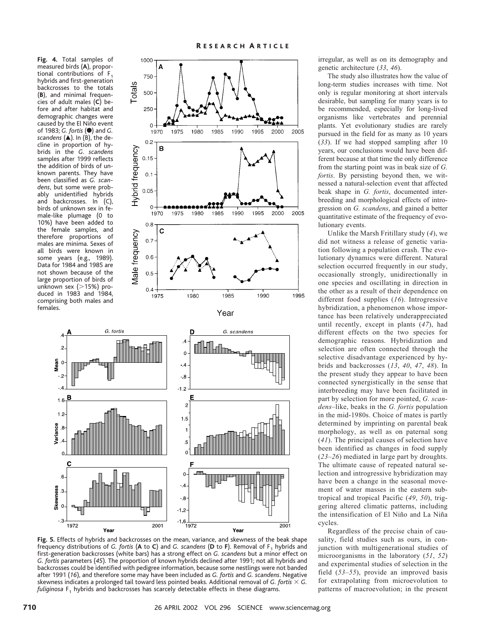**Fig. 4.** Total samples of measured birds (**A**), proportional contributions of  $F_1$ hybrids and first-generation backcrosses to the totals (**B**), and minimal frequencies of adult males (**C**) before and after habitat and demographic changes were caused by the El Niño event of 1983; *G. fortis* (F) and *G. scandens* ( $\triangle$ ). In (B), the decline in proportion of hybrids in the *G*. *scandens* samples after 1999 reflects the addition of birds of unknown parents. They have been classified as *G. scandens*, but some were probably unidentified hybrids and backcrosses. In (C), birds of unknown sex in female-like plumage (0 to 10%) have been added to the female samples, and therefore proportions of males are minima. Sexes of all birds were known in some years (e.g., 1989). Data for 1984 and 1985 are not shown because of the large proportion of birds of unknown sex  $($  > 15%) produced in 1983 and 1984, comprising both males and females.







**Fig. 5.** Effects of hybrids and backcrosses on the mean, variance, and skewness of the beak shape frequency distributions of *G. fortis* (A to C) and *G. scandens* (D to F). Removal of F<sub>1</sub> hybrids and first-generation backcrosses (white bars) has a strong effect on *G. scandens* but a minor effect on *G. fortis* parameters (*45*). The proportion of known hybrids declined after 1991; not all hybrids and backcrosses could be identified with pedigree information, because some nestlings were not banded after 1991 (*16*), and therefore some may have been included as *G. fortis* and *G. scandens*. Negative skewness indicates a prolonged tail toward less pointed beaks. Additional removal of *G. fortis*  $\times$  *G. fuliginosa* F<sub>1</sub> hybrids and backcrosses has scarcely detectable effects in these diagrams.

irregular, as well as on its demography and genetic architecture (*33*, *46*).

The study also illustrates how the value of long-term studies increases with time. Not only is regular monitoring at short intervals desirable, but sampling for many years is to be recommended, especially for long-lived organisms like vertebrates and perennial plants. Yet evolutionary studies are rarely pursued in the field for as many as 10 years (*33*). If we had stopped sampling after 10 years, our conclusions would have been different because at that time the only difference from the starting point was in beak size of *G. fortis*. By persisting beyond then, we witnessed a natural-selection event that affected beak shape in *G. fortis*, documented interbreeding and morphological effects of introgression on *G. scandens*, and gained a better quantitative estimate of the frequency of evolutionary events.

Unlike the Marsh Fritillary study (*4*), we did not witness a release of genetic variation following a population crash. The evolutionary dynamics were different. Natural selection occurred frequently in our study, occasionally strongly, unidirectionally in one species and oscillating in direction in the other as a result of their dependence on different food supplies (*16*). Introgressive hybridization, a phenomenon whose importance has been relatively underappreciated until recently, except in plants (*47*), had different effects on the two species for demographic reasons. Hybridization and selection are often connected through the selective disadvantage experienced by hybrids and backcrosses (*13*, *40*, *47*, *48*). In the present study they appear to have been connected synergistically in the sense that interbreeding may have been facilitated in part by selection for more pointed, *G. scandens*–like, beaks in the *G. fortis* population in the mid-1980s. Choice of mates is partly determined by imprinting on parental beak morphology, as well as on paternal song (*41*). The principal causes of selection have been identified as changes in food supply (*23*–*26*) mediated in large part by droughts. The ultimate cause of repeated natural selection and introgressive hybridization may have been a change in the seasonal movement of water masses in the eastern subtropical and tropical Pacific (*49*, *50*), triggering altered climatic patterns, including the intensification of El Niño and La Niña cycles.

Regardless of the precise chain of causality, field studies such as ours, in conjunction with multigenerational studies of microorganisms in the laboratory (*51*, *52*) and experimental studies of selection in the field (*53*–*55*), provide an improved basis for extrapolating from microevolution to patterns of macroevolution; in the present